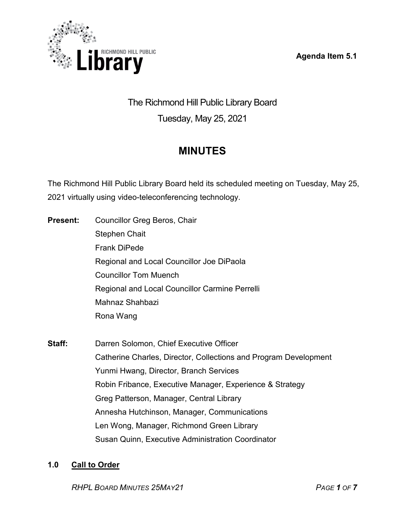**Agenda Item 5.1**



# The Richmond Hill Public Library Board Tuesday, May 25, 2021

# **MINUTES**

The Richmond Hill Public Library Board held its scheduled meeting on Tuesday, May 25, 2021 virtually using video-teleconferencing technology.

- **Present:** Councillor Greg Beros, Chair Stephen Chait Frank DiPede Regional and Local Councillor Joe DiPaola Councillor Tom Muench Regional and Local Councillor Carmine Perrelli Mahnaz Shahbazi Rona Wang
- **Staff:** Darren Solomon, Chief Executive Officer Catherine Charles, Director, Collections and Program Development Yunmi Hwang, Director, Branch Services Robin Fribance, Executive Manager, Experience & Strategy Greg Patterson, Manager, Central Library Annesha Hutchinson, Manager, Communications Len Wong, Manager, Richmond Green Library Susan Quinn, Executive Administration Coordinator

# **1.0 Call to Order**

*RHPL BOARD MINUTES 25MAY21 PAGE 1 OF 7*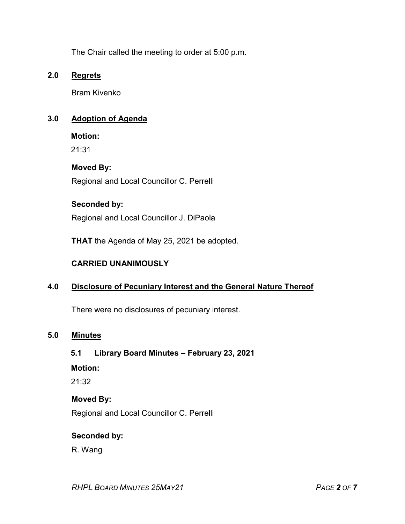The Chair called the meeting to order at 5:00 p.m.

## **2.0 Regrets**

Bram Kivenko

## **3.0 Adoption of Agenda**

**Motion:**

21:31

### **Moved By:**

Regional and Local Councillor C. Perrelli

## **Seconded by:**

Regional and Local Councillor J. DiPaola

**THAT** the Agenda of May 25, 2021 be adopted.

## **CARRIED UNANIMOUSLY**

# **4.0 Disclosure of Pecuniary Interest and the General Nature Thereof**

There were no disclosures of pecuniary interest.

## **5.0 Minutes**

### **5.1 Library Board Minutes – February 23, 2021**

### **Motion:**

21:32

### **Moved By:**

Regional and Local Councillor C. Perrelli

### **Seconded by:**

R. Wang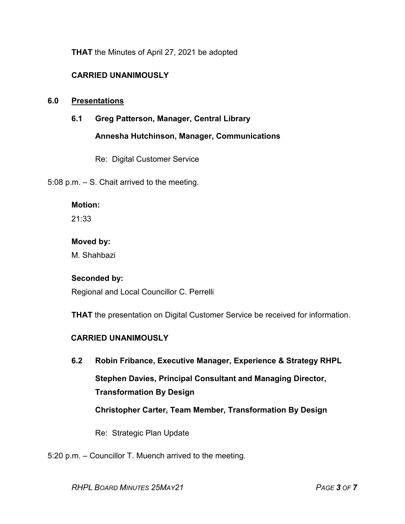**THAT** the Minutes of April 27, 2021 be adopted

# **CARRIED UNANIMOUSLY**

### **6.0 Presentations**

**6.1 Greg Patterson, Manager, Central Library**

**Annesha Hutchinson, Manager, Communications**

Re: Digital Customer Service

5:08 p.m. – S. Chait arrived to the meeting.

#### **Motion:**

21:33

#### **Moved by:**

M. Shahbazi

### **Seconded by:**

Regional and Local Councillor C. Perrelli

**THAT** the presentation on Digital Customer Service be received for information.

# **CARRIED UNANIMOUSLY**

**6.2 Robin Fribance, Executive Manager, Experience & Strategy RHPL Stephen Davies, Principal Consultant and Managing Director, Transformation By Design Christopher Carter, Team Member, Transformation By Design**

Re: Strategic Plan Update

5:20 p.m. – Councillor T. Muench arrived to the meeting.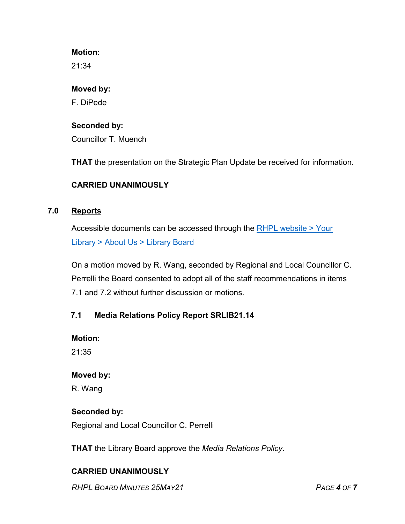## **Motion:**

21:34

### **Moved by:**

F. DiPede

# **Seconded by:**

Councillor T. Muench

**THAT** the presentation on the Strategic Plan Update be received for information.

# **CARRIED UNANIMOUSLY**

## **7.0 Reports**

Accessible documents can be accessed through the [RHPL website > Your](https://www.rhpl.ca/your-library/about-us/library-board)  Library [> About Us > Library](https://www.rhpl.ca/your-library/about-us/library-board) Board

On a motion moved by R. Wang, seconded by Regional and Local Councillor C. Perrelli the Board consented to adopt all of the staff recommendations in items 7.1 and 7.2 without further discussion or motions.

# **7.1 Media Relations Policy Report SRLIB21.14**

**Motion:** 

21:35

### **Moved by:**

R. Wang

### **Seconded by:**

Regional and Local Councillor C. Perrelli

**THAT** the Library Board approve the *Media Relations Policy*.

# **CARRIED UNANIMOUSLY**

*RHPL BOARD MINUTES 25MAY21 PAGE 4 OF 7*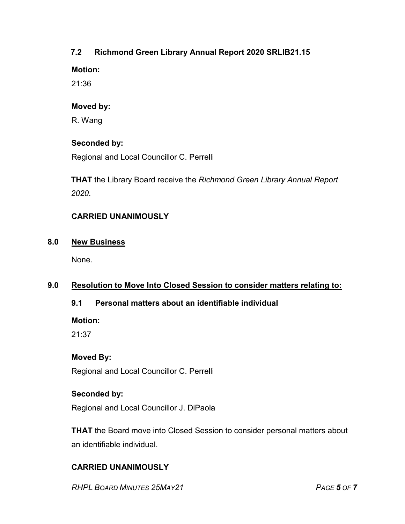# **7.2 Richmond Green Library Annual Report 2020 SRLIB21.15**

**Motion:** 

21:36

# **Moved by:**

R. Wang

# **Seconded by:**

Regional and Local Councillor C. Perrelli

**THAT** the Library Board receive the *Richmond Green Library Annual Report 2020*.

# **CARRIED UNANIMOUSLY**

# **8.0 New Business**

None.

# **9.0 Resolution to Move Into Closed Session to consider matters relating to:**

# **9.1 Personal matters about an identifiable individual**

**Motion:**

21:37

# **Moved By:**

Regional and Local Councillor C. Perrelli

# **Seconded by:**

Regional and Local Councillor J. DiPaola

**THAT** the Board move into Closed Session to consider personal matters about an identifiable individual.

# **CARRIED UNANIMOUSLY**

*RHPL BOARD MINUTES 25MAY21 PAGE 5 OF 7*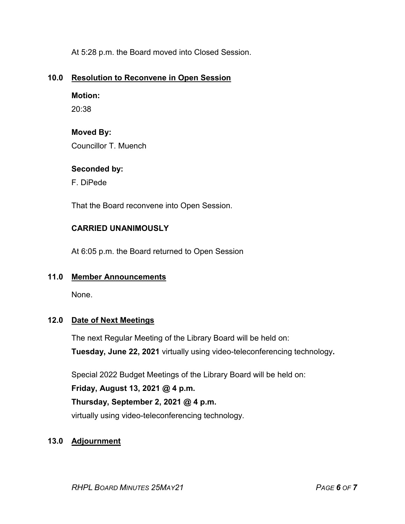At 5:28 p.m. the Board moved into Closed Session.

# **10.0 Resolution to Reconvene in Open Session**

# **Motion:**

20:38

# **Moved By:**

Councillor T. Muench

# **Seconded by:**

F. DiPede

That the Board reconvene into Open Session.

# **CARRIED UNANIMOUSLY**

At 6:05 p.m. the Board returned to Open Session

# **11.0 Member Announcements**

None.

# **12.0 Date of Next Meetings**

The next Regular Meeting of the Library Board will be held on: **Tuesday, June 22, 2021** virtually using video-teleconferencing technology**.**

Special 2022 Budget Meetings of the Library Board will be held on:

# **Friday, August 13, 2021 @ 4 p.m.**

# **Thursday, September 2, 2021 @ 4 p.m.**

virtually using video-teleconferencing technology.

# **13.0 Adjournment**